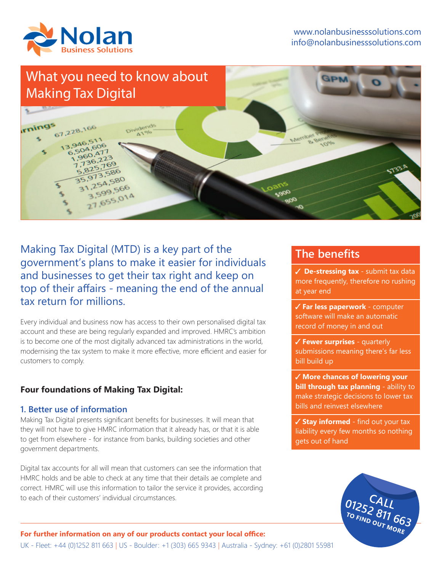

# What you need to know about Making Tax Digital rnings 67,228,166  $13.946.51$ 346, 606  $60.47$  $5.169$  $\frac{25}{913}$ , 586  $73.580$ <br> $754.580$  $754,566$ <br>3.599.566 3,599,5014

Making Tax Digital (MTD) is a key part of the government's plans to make it easier for individuals and businesses to get their tax right and keep on top of their affairs - meaning the end of the annual tax return for millions.

Every individual and business now has access to their own personalised digital tax account and these are being regularly expanded and improved. HMRC's ambition is to become one of the most digitally advanced tax administrations in the world, modernising the tax system to make it more effective, more efficient and easier for customers to comply.

## **Four foundations of Making Tax Digital:**

### **1. Better use of information**

Making Tax Digital presents significant benefits for businesses. It will mean that they will not have to give HMRC information that it already has, or that it is able to get from elsewhere - for instance from banks, building societies and other government departments.

Digital tax accounts for all will mean that customers can see the information that HMRC holds and be able to check at any time that their details ae complete and correct. HMRC will use this information to tailor the service it provides, according to each of their customers' individual circumstances.

# **The benefits**

**De-stressing tax** - submit tax data more frequently, therefore no rushing at year end

**Far less paperwork** - computer software will make an automatic record of money in and out

**Fewer surprises** - quarterly submissions meaning there's far less bill build up

**More chances of lowering your bill through tax planning** - ability to make strategic decisions to lower tax bills and reinvest elsewhere

**Stay informed** - find out your tax liability every few months so nothing gets out of hand



#### **For further information on any of our products contact your local office:**

UK - Fleet: +44 (0)1252 811 663 | US - Boulder: +1 (303) 665 9343 | Australia - Sydney: +61 (0)2801 55981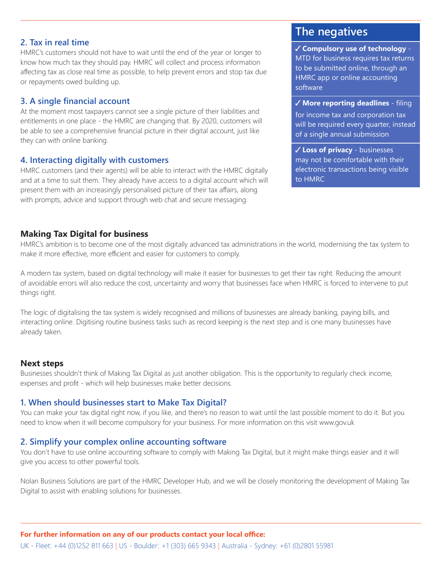### **2. Tax in real time**

HMRC's customers should not have to wait until the end of the year or longer to know how much tax they should pay. HMRC will collect and process information affecting tax as close real time as possible, to help prevent errors and stop tax due or repayments owed building up.

### **3. A single financial account**

At the moment most taxpayers cannot see a single picture of their liabilities and entitlements in one place - the HMRC are changing that. By 2020, customers will be able to see a comprehensive financial picture in their digital account, just like they can with online banking.

### **4. Interacting digitally with customers**

HMRC customers (and their agents) will be able to interact with the HMRC digitally and at a time to suit them. They already have access to a digital account which will present them with an increasingly personalised picture of their tax affairs, along with prompts, advice and support through web chat and secure messaging.

# **The negatives**

**Compulsory use of technology** - MTD for business requires tax returns to be submitted online, through an HMRC app or online accounting software

**More reporting deadlines** - filing

for income tax and corporation tax will be required every quarter, instead of a single annual submission

**Loss of privacy** - businesses may not be comfortable with their electronic transactions being visible to HMRC

### **Making Tax Digital for business**

HMRC's ambition is to become one of the most digitally advanced tax administrations in the world, modernising the tax system to make it more effective, more efficient and easier for customers to comply.

A modern tax system, based on digital technology will make it easier for businesses to get their tax right. Reducing the amount of avoidable errors will also reduce the cost, uncertainty and worry that businesses face when HMRC is forced to intervene to put things right.

The logic of digitalising the tax system is widely recognised and millions of businesses are already banking, paying bills, and interacting online. Digitising routine business tasks such as record keeping is the next step and is one many businesses have already taken.

### **Next steps**

Businesses shouldn't think of Making Tax Digital as just another obligation. This is the opportunity to regularly check income, expenses and profit - which will help businesses make better decisions.

### **1. When should businesses start to Make Tax Digital?**

You can make your tax digital right now, if you like, and there's no reason to wait until the last possible moment to do it. But you need to know when it will become compulsory for your business. For more information on this visit www.gov.uk

### **2. Simplify your complex online accounting software**

You don't have to use online accounting software to comply with Making Tax Digital, but it might make things easier and it will give you access to other powerful tools.

Nolan Business Solutions are part of the HMRC Developer Hub, and we will be closely monitoring the development of Making Tax Digital to assist with enabling solutions for businesses.